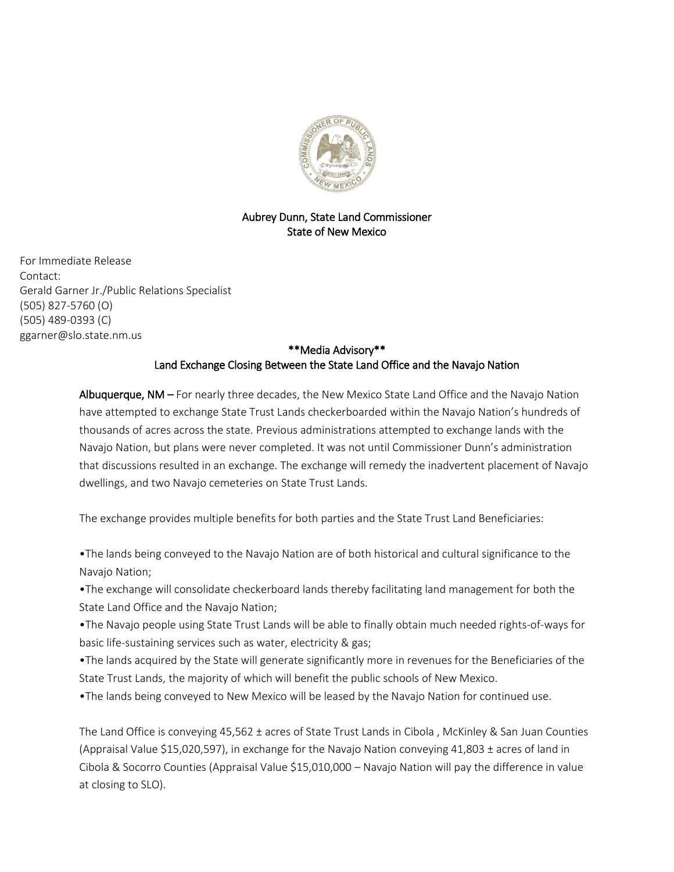

## Aubrey Dunn, State Land Commissioner State of New Mexico

For Immediate Release Contact: Gerald Garner Jr./Public Relations Specialist (505) 827-5760 (O) (505) 489-0393 (C) ggarner@slo.state.nm.us

## \*\*Media Advisory\*\* Land Exchange Closing Between the State Land Office and the Navajo Nation

Albuquerque, NM – For nearly three decades, the New Mexico State Land Office and the Navajo Nation have attempted to exchange State Trust Lands checkerboarded within the Navajo Nation's hundreds of thousands of acres across the state. Previous administrations attempted to exchange lands with the Navajo Nation, but plans were never completed. It was not until Commissioner Dunn's administration that discussions resulted in an exchange. The exchange will remedy the inadvertent placement of Navajo dwellings, and two Navajo cemeteries on State Trust Lands.

The exchange provides multiple benefits for both parties and the State Trust Land Beneficiaries:

•The lands being conveyed to the Navajo Nation are of both historical and cultural significance to the Navajo Nation;

•The exchange will consolidate checkerboard lands thereby facilitating land management for both the State Land Office and the Navajo Nation;

•The Navajo people using State Trust Lands will be able to finally obtain much needed rights-of-ways for basic life-sustaining services such as water, electricity & gas;

•The lands acquired by the State will generate significantly more in revenues for the Beneficiaries of the State Trust Lands, the majority of which will benefit the public schools of New Mexico.

•The lands being conveyed to New Mexico will be leased by the Navajo Nation for continued use.

The Land Office is conveying 45,562 ± acres of State Trust Lands in Cibola , McKinley & San Juan Counties (Appraisal Value \$15,020,597), in exchange for the Navajo Nation conveying 41,803 ± acres of land in Cibola & Socorro Counties (Appraisal Value \$15,010,000 – Navajo Nation will pay the difference in value at closing to SLO).